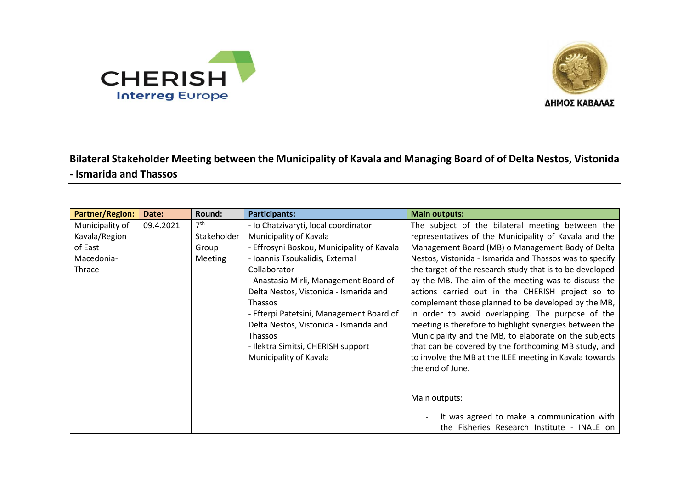



## **Bilateral Stakeholder Meeting between the Municipality of Kavala and Managing Board of of Delta Nestos, Vistonida - Ismarida and Thassos**

| <b>Partner/Region:</b> | Date:     | Round:          | Participants:                              | <b>Main outputs:</b>                                     |
|------------------------|-----------|-----------------|--------------------------------------------|----------------------------------------------------------|
| Municipality of        | 09.4.2021 | 7 <sup>th</sup> | - Io Chatzivaryti, local coordinator       | The subject of the bilateral meeting between the         |
| Kavala/Region          |           | Stakeholder     | Municipality of Kavala                     | representatives of the Municipality of Kavala and the    |
| of East                |           | Group           | - Effrosyni Boskou, Municipality of Kavala | Management Board (MB) o Management Body of Delta         |
| Macedonia-             |           | <b>Meeting</b>  | - Ioannis Tsoukalidis, External            | Nestos, Vistonida - Ismarida and Thassos was to specify  |
| Thrace                 |           |                 | Collaborator                               | the target of the research study that is to be developed |
|                        |           |                 | - Anastasia Mirli, Management Board of     | by the MB. The aim of the meeting was to discuss the     |
|                        |           |                 | Delta Nestos, Vistonida - Ismarida and     | actions carried out in the CHERISH project so to         |
|                        |           |                 | Thassos                                    | complement those planned to be developed by the MB,      |
|                        |           |                 | - Efterpi Patetsini, Management Board of   | in order to avoid overlapping. The purpose of the        |
|                        |           |                 | Delta Nestos, Vistonida - Ismarida and     | meeting is therefore to highlight synergies between the  |
|                        |           |                 | <b>Thassos</b>                             | Municipality and the MB, to elaborate on the subjects    |
|                        |           |                 | - Ilektra Simitsi, CHERISH support         | that can be covered by the forthcoming MB study, and     |
|                        |           |                 | Municipality of Kavala                     | to involve the MB at the ILEE meeting in Kavala towards  |
|                        |           |                 |                                            | the end of June.                                         |
|                        |           |                 |                                            |                                                          |
|                        |           |                 |                                            |                                                          |
|                        |           |                 |                                            | Main outputs:                                            |
|                        |           |                 |                                            | It was agreed to make a communication with               |
|                        |           |                 |                                            | the Fisheries Research Institute - INALE on              |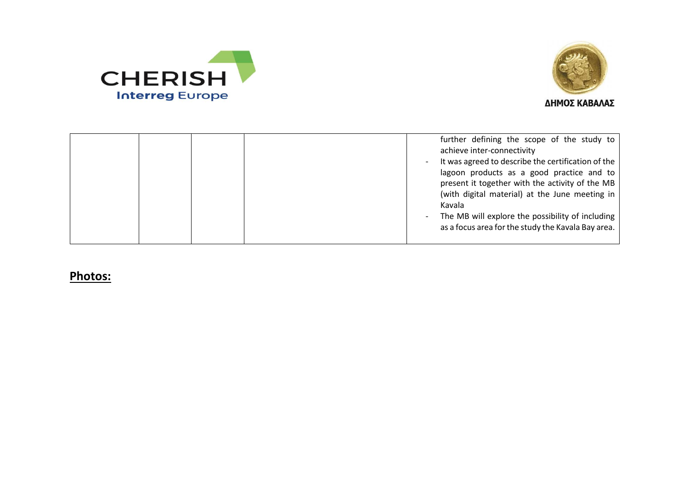



|  |  | further defining the scope of the study to<br>achieve inter-connectivity<br>It was agreed to describe the certification of the |
|--|--|--------------------------------------------------------------------------------------------------------------------------------|
|  |  | lagoon products as a good practice and to<br>present it together with the activity of the MB                                   |
|  |  | (with digital material) at the June meeting in<br>Kavala<br>The MB will explore the possibility of including                   |
|  |  | as a focus area for the study the Kavala Bay area.                                                                             |

**Photos:**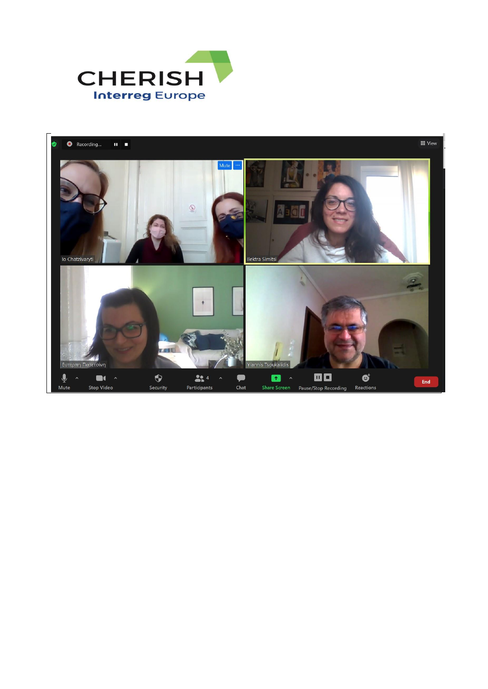